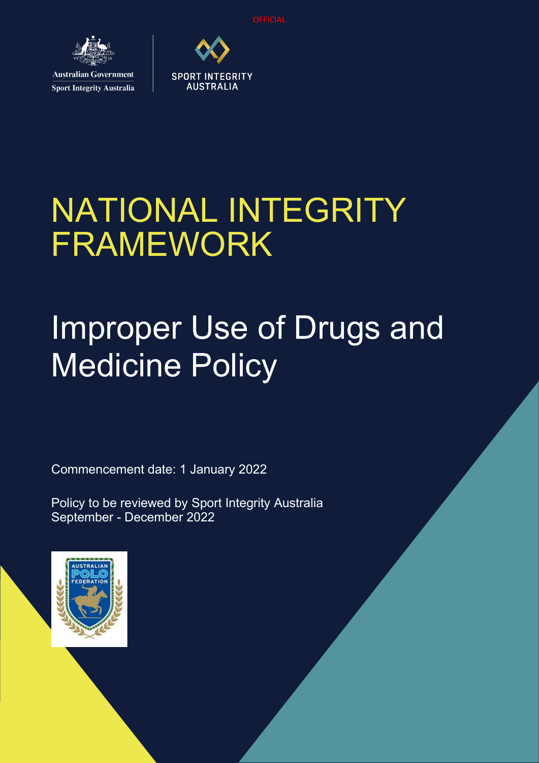**OFFICIAL** 



**Sport Integrity Australia** 

# NATIONAL INTEGRITY FRAMEWORK

**SPORT INTEGRITY AUSTRALIA** 

## Improper Use of Drugs and Medicine Policy

Commencement date: 1 January 2022

Policy to be reviewed by Sport Integrity Australia September - December 2022

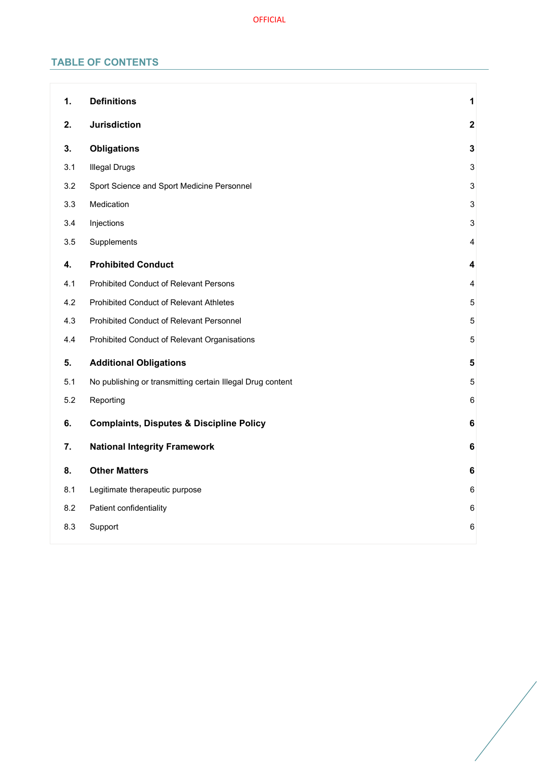## **TABLE OF CONTENTS**

| 1.  | <b>Definitions</b>                                         | 1                         |
|-----|------------------------------------------------------------|---------------------------|
| 2.  | <b>Jurisdiction</b>                                        | $\overline{\mathbf{2}}$   |
| 3.  | <b>Obligations</b>                                         | $\mathbf{3}$              |
| 3.1 | <b>Illegal Drugs</b>                                       | $\ensuremath{\mathsf{3}}$ |
| 3.2 | Sport Science and Sport Medicine Personnel                 | $\sqrt{3}$                |
| 3.3 | Medication                                                 | $\mathbf{3}$              |
| 3.4 | Injections                                                 | $\ensuremath{\mathsf{3}}$ |
| 3.5 | Supplements                                                | 4                         |
| 4.  | <b>Prohibited Conduct</b>                                  | 4                         |
| 4.1 | Prohibited Conduct of Relevant Persons                     | 4                         |
| 4.2 | Prohibited Conduct of Relevant Athletes                    | 5                         |
| 4.3 | Prohibited Conduct of Relevant Personnel                   | 5                         |
| 4.4 | Prohibited Conduct of Relevant Organisations               | 5                         |
| 5.  | <b>Additional Obligations</b>                              | 5                         |
| 5.1 | No publishing or transmitting certain Illegal Drug content | 5                         |
| 5.2 | Reporting                                                  | $\,6$                     |
| 6.  | <b>Complaints, Disputes &amp; Discipline Policy</b>        | $\bf 6$                   |
| 7.  | <b>National Integrity Framework</b>                        | 6                         |
| 8.  | <b>Other Matters</b>                                       | 6                         |
| 8.1 | Legitimate therapeutic purpose                             | $\,6\,$                   |
| 8.2 | Patient confidentiality                                    | $\,6\,$                   |
| 8.3 | Support                                                    | 6                         |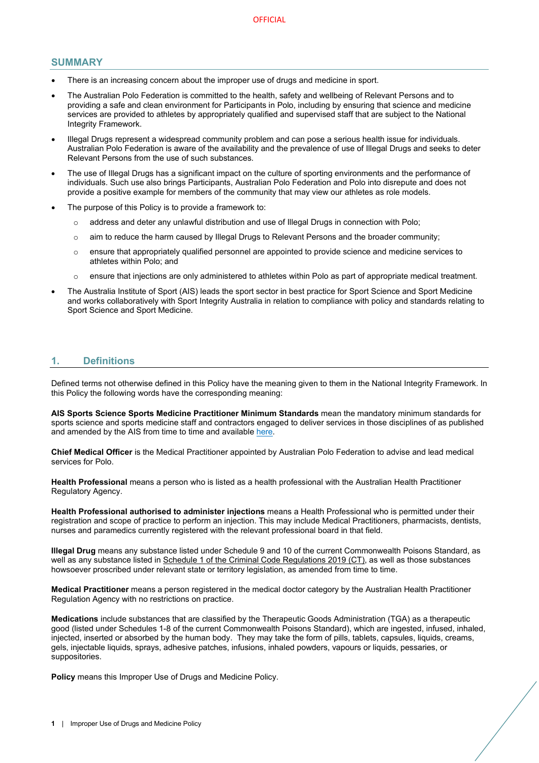#### **SUMMARY**

- There is an increasing concern about the improper use of drugs and medicine in sport.
- The Australian Polo Federation is committed to the health, safety and wellbeing of Relevant Persons and to providing a safe and clean environment for Participants in Polo, including by ensuring that science and medicine services are provided to athletes by appropriately qualified and supervised staff that are subject to the National Integrity Framework.
- Illegal Drugs represent a widespread community problem and can pose a serious health issue for individuals. Australian Polo Federation is aware of the availability and the prevalence of use of Illegal Drugs and seeks to deter Relevant Persons from the use of such substances.
- The use of Illegal Drugs has a significant impact on the culture of sporting environments and the performance of individuals. Such use also brings Participants, Australian Polo Federation and Polo into disrepute and does not provide a positive example for members of the community that may view our athletes as role models.
- The purpose of this Policy is to provide a framework to:
	- o address and deter any unlawful distribution and use of Illegal Drugs in connection with Polo;
	- $\circ$  aim to reduce the harm caused by Illegal Drugs to Relevant Persons and the broader community;
	- o ensure that appropriately qualified personnel are appointed to provide science and medicine services to athletes within Polo; and
	- $\circ$  ensure that injections are only administered to athletes within Polo as part of appropriate medical treatment.
- The Australia Institute of Sport (AIS) leads the sport sector in best practice for Sport Science and Sport Medicine and works collaboratively with Sport Integrity Australia in relation to compliance with policy and standards relating to Sport Science and Sport Medicine.

## <span id="page-2-0"></span>**1. Definitions**

Defined terms not otherwise defined in this Policy have the meaning given to them in the National Integrity Framework. In this Policy the following words have the corresponding meaning:

**AIS Sports Science Sports Medicine Practitioner Minimum Standards** mean the mandatory minimum standards for sports science and sports medicine staff and contractors engaged to deliver services in those disciplines of as published and amended by the AIS from time to time and available [here.](https://www.ais.gov.au/position_statements#ais_sports_science_sports_medicine_practitioner_minimum_standards) 

**Chief Medical Officer** is the Medical Practitioner appointed by Australian Polo Federation to advise and lead medical services for Polo.

**Health Professional** means a person who is listed as a health professional with the Australian Health Practitioner Regulatory Agency.

**Health Professional authorised to administer injections** means a Health Professional who is permitted under their registration and scope of practice to perform an injection. This may include Medical Practitioners, pharmacists, dentists, nurses and paramedics currently registered with the relevant professional board in that field.

**Illegal Drug** means any substance listed under Schedule 9 and 10 of the current Commonwealth Poisons Standard, as well as any substance listed in [Schedule 1 of the Criminal Code Regulations 2019 \(CT\),](https://www.legislation.gov.au/Details/F2020C00785) as well as those substances howsoever proscribed under relevant state or territory legislation, as amended from time to time.

**Medical Practitioner** means a person registered in the medical doctor category by the Australian Health Practitioner Regulation Agency with no restrictions on practice.

**Medications** include substances that are classified by the Therapeutic Goods Administration (TGA) as a therapeutic good (listed under Schedules 1-8 of the current Commonwealth Poisons Standard), which are ingested, infused, inhaled, injected, inserted or absorbed by the human body. They may take the form of pills, tablets, capsules, liquids, creams, gels, injectable liquids, sprays, adhesive patches, infusions, inhaled powders, vapours or liquids, pessaries, or suppositories.

**Policy** means this Improper Use of Drugs and Medicine Policy.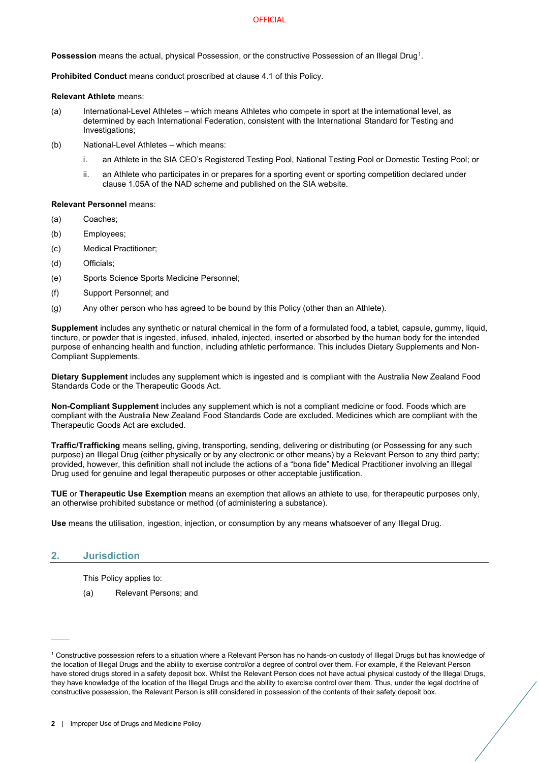#### **OFFICIAL**

**Possession** means the actual, physical Possession, or the constructive Possession of an Illegal Drug<sup>[1](#page-3-1)</sup>.

**Prohibited Conduct** means conduct proscribed at clause [4.1](#page-5-2) of this Policy.

#### **Relevant Athlete** means:

- (a) International-Level Athletes which means Athletes who compete in sport at the international level, as determined by each International Federation, consistent with the International Standard for Testing and Investigations;
- (b) National-Level Athletes which means:
	- i. an Athlete in the SIA CEO's Registered Testing Pool, National Testing Pool or Domestic Testing Pool; or
	- ii. an Athlete who participates in or prepares for a sporting event or sporting competition declared under clause 1.05A of the NAD scheme and published on the SIA website.

#### **Relevant Personnel** means:

- (a) Coaches;
- (b) Employees;
- (c) Medical Practitioner;
- (d) Officials;
- (e) Sports Science Sports Medicine Personnel;
- (f) Support Personnel; and
- (g) Any other person who has agreed to be bound by this Policy (other than an Athlete).

**Supplement** includes any synthetic or natural chemical in the form of a formulated food, a tablet, capsule, gummy, liquid, tincture, or powder that is ingested, infused, inhaled, injected, inserted or absorbed by the human body for the intended purpose of enhancing health and function, including athletic performance. This includes Dietary Supplements and Non-Compliant Supplements.

**Dietary Supplement** includes any supplement which is ingested and is compliant with the Australia New Zealand Food Standards Code or the Therapeutic Goods Act.

**Non-Compliant Supplement** includes any supplement which is not a compliant medicine or food. Foods which are compliant with the Australia New Zealand Food Standards Code are excluded. Medicines which are compliant with the Therapeutic Goods Act are excluded.

**Traffic/Trafficking** means selling, giving, transporting, sending, delivering or distributing (or Possessing for any such purpose) an Illegal Drug (either physically or by any electronic or other means) by a Relevant Person to any third party; provided, however, this definition shall not include the actions of a "bona fide" Medical Practitioner involving an Illegal Drug used for genuine and legal therapeutic purposes or other acceptable justification.

**TUE** or **Therapeutic Use Exemption** means an exemption that allows an athlete to use, for therapeutic purposes only, an otherwise prohibited substance or method (of administering a substance).

**Use** means the utilisation, ingestion, injection, or consumption by any means whatsoever of any Illegal Drug.

## <span id="page-3-0"></span>**2. Jurisdiction**

 $\overline{\phantom{a}}$ 

This Policy applies to:

(a) Relevant Persons; and

<span id="page-3-1"></span><sup>1</sup> Constructive possession refers to a situation where a Relevant Person has no hands-on custody of Illegal Drugs but has knowledge of the location of Illegal Drugs and the ability to exercise control/or a degree of control over them. For example, if the Relevant Person have stored drugs stored in a safety deposit box. Whilst the Relevant Person does not have actual physical custody of the Illegal Drugs, they have knowledge of the location of the Illegal Drugs and the ability to exercise control over them. Thus, under the legal doctrine of constructive possession, the Relevant Person is still considered in possession of the contents of their safety deposit box.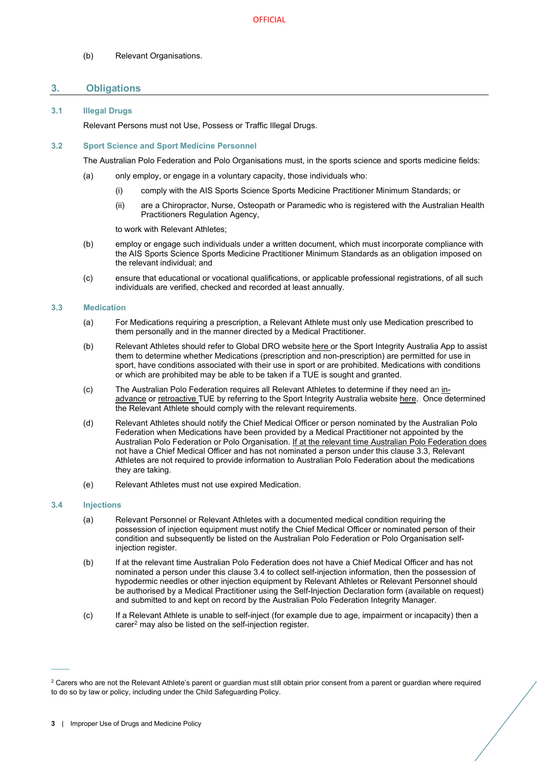<span id="page-4-0"></span>(b) Relevant Organisations.

## **3. Obligations**

## <span id="page-4-1"></span>**3.1 Illegal Drugs**

Relevant Persons must not Use, Possess or Traffic Illegal Drugs.

## <span id="page-4-2"></span>**3.2 Sport Science and Sport Medicine Personnel**

The Australian Polo Federation and Polo Organisations must, in the sports science and sports medicine fields:

- (a) only employ, or engage in a voluntary capacity, those individuals who:
	- (i) comply with the AIS Sports Science Sports Medicine Practitioner Minimum Standards; or
	- (ii) are a Chiropractor, Nurse, Osteopath or Paramedic who is registered with the Australian Health Practitioners Regulation Agency,

to work with Relevant Athletes;

- (b) employ or engage such individuals under a written document, which must incorporate compliance with the AIS Sports Science Sports Medicine Practitioner Minimum Standards as an obligation imposed on the relevant individual; and
- (c) ensure that educational or vocational qualifications, or applicable professional registrations, of all such individuals are verified, checked and recorded at least annually.

#### <span id="page-4-3"></span>**3.3 Medication**

- (a) For Medications requiring a prescription, a Relevant Athlete must only use Medication prescribed to them personally and in the manner directed by a Medical Practitioner.
- (b) Relevant Athletes should refer to Global DRO websit[e here](https://globaldro.com/AU/search) or the Sport Integrity Australia App to assist them to determine whether Medications (prescription and non-prescription) are permitted for use in sport, have conditions associated with their use in sport or are prohibited. Medications with conditions or which are prohibited may be able to be taken if a TUE is sought and granted.
- (c) The Australian Polo Federation requires all Relevant Athletes to determine if they need an [in](https://www.sportintegrity.gov.au/resources/therapeutic-use-exemption/advance-therapeutic-use-exemption)[advance](https://www.sportintegrity.gov.au/resources/therapeutic-use-exemption/advance-therapeutic-use-exemption) or [retroactive](https://www.sportintegrity.gov.au/resources/therapeutic-use-exemption/retroactive-therapeutic-use-exemption) TUE by referring to the Sport Integrity Australia websit[e here.](https://www.sportintegrity.gov.au/resources/therapeutic-use-exemption) Once determined the Relevant Athlete should comply with the relevant requirements.
- (d) Relevant Athletes should notify the Chief Medical Officer or person nominated by the Australian Polo Federation when Medications have been provided by a Medical Practitioner not appointed by the Australian Polo Federation or Polo Organisation. If at the relevant time Australian Polo Federation does not have a Chief Medical Officer and has not nominated a person under this clause 3.3, Relevant Athletes are not required to provide information to Australian Polo Federation about the medications they are taking.
- (e) Relevant Athletes must not use expired Medication.

#### <span id="page-4-4"></span>**3.4 Injections**

 $\mathcal{L}^{\mathcal{L}}$ 

- (a) Relevant Personnel or Relevant Athletes with a documented medical condition requiring the possession of injection equipment must notify the Chief Medical Officer or nominated person of their condition and subsequently be listed on the Australian Polo Federation or Polo Organisation selfinjection register.
- (b) If at the relevant time Australian Polo Federation does not have a Chief Medical Officer and has not nominated a person under this clause 3.4 to collect self-injection information, then the possession of hypodermic needles or other injection equipment by Relevant Athletes or Relevant Personnel should be authorised by a Medical Practitioner using the Self-Injection Declaration form (available on request) and submitted to and kept on record by the Australian Polo Federation Integrity Manager.
- (c) If a Relevant Athlete is unable to self-inject (for example due to age, impairment or incapacity) then a carer<sup>[2](#page-4-5)</sup> may also be listed on the self-injection register.

<span id="page-4-5"></span><sup>&</sup>lt;sup>2</sup> Carers who are not the Relevant Athlete's parent or guardian must still obtain prior consent from a parent or guardian where required to do so by law or policy, including under the Child Safeguarding Policy.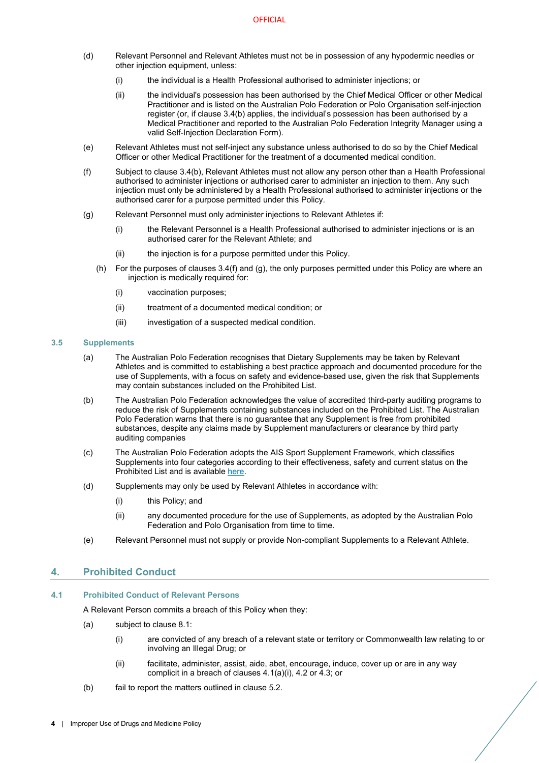- (d) Relevant Personnel and Relevant Athletes must not be in possession of any hypodermic needles or other injection equipment, unless:
	- (i) the individual is a Health Professional authorised to administer injections; or
	- (ii) the individual's possession has been authorised by the Chief Medical Officer or other Medical Practitioner and is listed on the Australian Polo Federation or Polo Organisation self-injection register (or, if clause 3.4(b) applies, the individual's possession has been authorised by a Medical Practitioner and reported to the Australian Polo Federation Integrity Manager using a valid Self-Injection Declaration Form).
- (e) Relevant Athletes must not self-inject any substance unless authorised to do so by the Chief Medical Officer or other Medical Practitioner for the treatment of a documented medical condition.
- <span id="page-5-4"></span>(f) Subject to clause 3.4(b), Relevant Athletes must not allow any person other than a Health Professional authorised to administer injections or authorised carer to administer an injection to them. Any such injection must only be administered by a Health Professional authorised to administer injections or the authorised carer for a purpose permitted under this Policy.
- (g) Relevant Personnel must only administer injections to Relevant Athletes if:
	- (i) the Relevant Personnel is a Health Professional authorised to administer injections or is an authorised carer for the Relevant Athlete; and
	- (ii) the injection is for a purpose permitted under this Policy.
	- (h) For the purposes of clauses 3.4(f) and (g), the only purposes permitted under this Policy are where an injection is medically required for:
		- (i) vaccination purposes;
		- (ii) treatment of a documented medical condition; or
		- (iii) investigation of a suspected medical condition.

#### <span id="page-5-0"></span>**3.5 Supplements**

- (a) The Australian Polo Federation recognises that Dietary Supplements may be taken by Relevant Athletes and is committed to establishing a best practice approach and documented procedure for the use of Supplements, with a focus on safety and evidence-based use, given the risk that Supplements may contain substances included on the Prohibited List.
- (b) The Australian Polo Federation acknowledges the value of accredited third-party auditing programs to reduce the risk of Supplements containing substances included on the Prohibited List. The Australian Polo Federation warns that there is no guarantee that any Supplement is free from prohibited substances, despite any claims made by Supplement manufacturers or clearance by third party auditing companies
- (c) The Australian Polo Federation adopts the AIS Sport Supplement Framework, which classifies Supplements into four categories according to their effectiveness, safety and current status on the Prohibited List and is availabl[e here.](https://www.ais.gov.au/__data/assets/pdf_file/0004/698557/AIS-Sports-Supplement-Framework-2019.pdf)
- (d) Supplements may only be used by Relevant Athletes in accordance with:
	- (i) this Policy; and
	- (ii) any documented procedure for the use of Supplements, as adopted by the Australian Polo Federation and Polo Organisation from time to time.
- (e) Relevant Personnel must not supply or provide Non-compliant Supplements to a Relevant Athlete.

## <span id="page-5-5"></span><span id="page-5-1"></span>**4. Prohibited Conduct**

#### <span id="page-5-3"></span><span id="page-5-2"></span>**4.1 Prohibited Conduct of Relevant Persons**

A Relevant Person commits a breach of this Policy when they:

- (a) subject to clause [8.1:](#page-7-4)
	- (i) are convicted of any breach of a relevant state or territory or Commonwealth law relating to or involving an Illegal Drug; or
	- (ii) facilitate, administer, assist, aide, abet, encourage, induce, cover up or are in any way complicit in a breach of clause[s 4.1\(a\)\(](#page-5-3)i), [4.2](#page-6-0) o[r 4.3;](#page-6-1) or
- (b) fail to report the matters outlined in clause [5.2.](#page-7-0)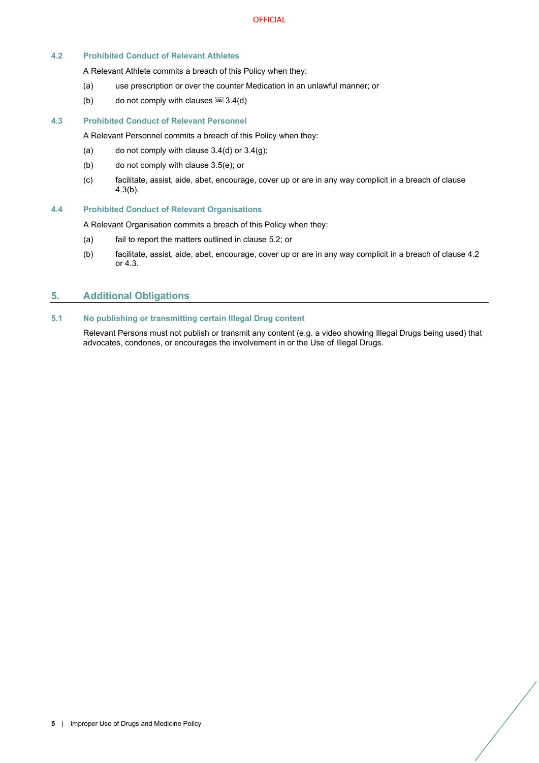## <span id="page-6-0"></span>**4.2 Prohibited Conduct of Relevant Athletes**

A Relevant Athlete commits a breach of this Policy when they:

- (a) use prescription or over the counter Medication in an unlawful manner; or
- (b) do not comply with clauses  [3.4\(d\)](#page-5-4)

#### <span id="page-6-1"></span>**4.3 Prohibited Conduct of Relevant Personnel**

A Relevant Personnel commits a breach of this Policy when they:

- (a) do not comply with clause  $3.4$ (d) or  $3.4$ (g);
- <span id="page-6-5"></span>(b) do not comply with clause [3.5\(e\);](#page-5-5) or
- (c) facilitate, assist, aide, abet, encourage, cover up or are in any way complicit in a breach of clause [4.3\(b\).](#page-6-5)

#### <span id="page-6-2"></span>**4.4 Prohibited Conduct of Relevant Organisations**

A Relevant Organisation commits a breach of this Policy when they:

- (a) fail to report the matters outlined in clause [5.2;](#page-7-0) or
- (b) facilitate, assist, aide, abet, encourage, cover up or are in any way complicit in a breach of clause [4.2](#page-6-0) or [4.3.](#page-6-1)

## <span id="page-6-3"></span>**5. Additional Obligations**

#### <span id="page-6-4"></span>**5.1 No publishing or transmitting certain Illegal Drug content**

Relevant Persons must not publish or transmit any content (e.g. a video showing Illegal Drugs being used) that advocates, condones, or encourages the involvement in or the Use of Illegal Drugs.